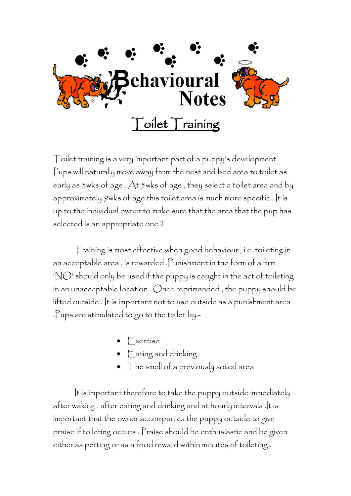

Toilet training is a very important part of a puppy's development . Pups will naturally move away from the nest and bed area to toilet as early as 3wks of age . At 5wks of age , they select a toilet area and by approximately 9wks of age this toilet area is much more specific . It is up to the individual owner to make sure that the area that the pup has selected is an appropriate one !!

Training is most effective when good behaviour , i.e. toileting in an acceptable area , is rewarded .Punishment in the form of a firm 'NO' should only be used if the puppy is caught in the act of toileting in an unacceptable location . Once reprimanded , the puppy should be lifted outside . It is important not to use outside as a punishment area .Pups are stimulated to go to the toilet by:-

- Exercise
- Eating and drinking
- The smell of a previously soiled area

It is important therefore to take the puppy outside immediately after waking , after eating and drinking and at hourly intervals .It is important that the owner accompanies the puppy outside to give praise if toileting occurs . Praise should be enthusiastic and be given either as petting or as a food reward within minutes of toileting .